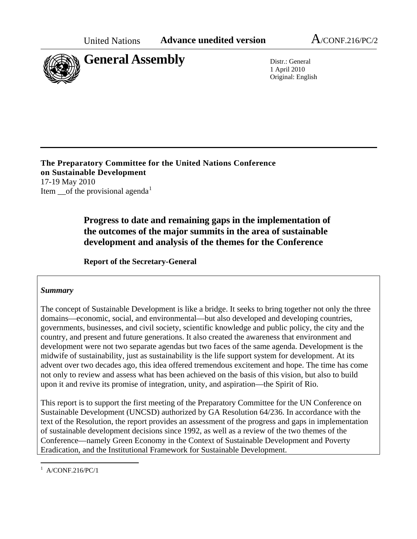

1 April 2010 Original: English

**The Preparatory Committee for the United Nations Conference on Sustainable Development**  17-19 May 2010 Item of the provisional agenda<sup>[1](#page-0-0)</sup>

> **Progress to date and remaining gaps in the implementation of the outcomes of the major summits in the area of sustainable development and analysis of the themes for the Conference**

**Report of the Secretary-General**

#### *Summary*

The concept of Sustainable Development is like a bridge. It seeks to bring together not only the three domains—economic, social, and environmental—but also developed and developing countries, governments, businesses, and civil society, scientific knowledge and public policy, the city and the country, and present and future generations. It also created the awareness that environment and development were not two separate agendas but two faces of the same agenda. Development is the midwife of sustainability, just as sustainability is the life support system for development. At its advent over two decades ago, this idea offered tremendous excitement and hope. The time has come not only to review and assess what has been achieved on the basis of this vision, but also to build upon it and revive its promise of integration, unity, and aspiration—the Spirit of Rio.

This report is to support the first meeting of the Preparatory Committee for the UN Conference on Sustainable Development (UNCSD) authorized by GA Resolution 64/236. In accordance with the text of the Resolution, the report provides an assessment of the progress and gaps in implementation of sustainable development decisions since 1992, as well as a review of the two themes of the Conference—namely Green Economy in the Context of Sustainable Development and Poverty Eradication, and the Institutional Framework for Sustainable Development.

<span id="page-0-0"></span><sup>&</sup>lt;sup>1</sup> A/CONF.216/PC/1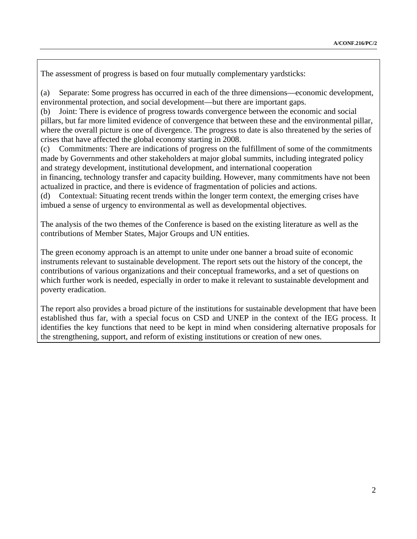The assessment of progress is based on four mutually complementary yardsticks:

(a) Separate: Some progress has occurred in each of the three dimensions—economic development, environmental protection, and social development—but there are important gaps.

(b) Joint: There is evidence of progress towards convergence between the economic and social pillars, but far more limited evidence of convergence that between these and the environmental pillar, where the overall picture is one of divergence. The progress to date is also threatened by the series of crises that have affected the global economy starting in 2008.

(c) Commitments: There are indications of progress on the fulfillment of some of the commitments made by Governments and other stakeholders at major global summits, including integrated policy and strategy development, institutional development, and international cooperation

in financing, technology transfer and capacity building. However, many commitments have not been actualized in practice, and there is evidence of fragmentation of policies and actions.

(d) Contextual: Situating recent trends within the longer term context, the emerging crises have imbued a sense of urgency to environmental as well as developmental objectives.

The analysis of the two themes of the Conference is based on the existing literature as well as the contributions of Member States, Major Groups and UN entities.

The green economy approach is an attempt to unite under one banner a broad suite of economic instruments relevant to sustainable development. The report sets out the history of the concept, the contributions of various organizations and their conceptual frameworks, and a set of questions on which further work is needed, especially in order to make it relevant to sustainable development and poverty eradication.

The report also provides a broad picture of the institutions for sustainable development that have been established thus far, with a special focus on CSD and UNEP in the context of the IEG process. It identifies the key functions that need to be kept in mind when considering alternative proposals for the strengthening, support, and reform of existing institutions or creation of new ones.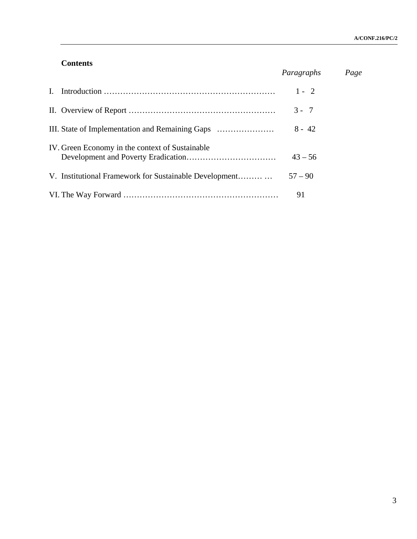## **Contents**

|              |                                                        | Paragraphs | Page |
|--------------|--------------------------------------------------------|------------|------|
| $\mathbf{L}$ |                                                        | $1 - 2$    |      |
|              |                                                        | $3 - 7$    |      |
|              |                                                        | $8 - 42$   |      |
|              | IV. Green Economy in the context of Sustainable        | $43 - 56$  |      |
|              | V. Institutional Framework for Sustainable Development | $57 - 90$  |      |
|              |                                                        | 91         |      |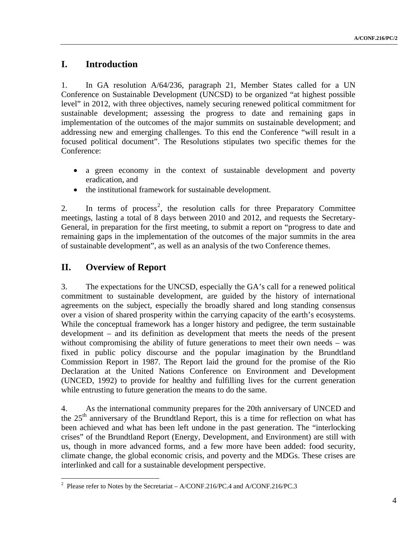# **I. Introduction**

1. In GA resolution A/64/236, paragraph 21, Member States called for a UN Conference on Sustainable Development (UNCSD) to be organized "at highest possible level" in 2012, with three objectives, namely securing renewed political commitment for sustainable development; assessing the progress to date and remaining gaps in implementation of the outcomes of the major summits on sustainable development; and addressing new and emerging challenges. To this end the Conference "will result in a focused political document". The Resolutions stipulates two specific themes for the Conference:

- a green economy in the context of sustainable development and poverty eradication, and
- the institutional framework for sustainable development.

[2](#page-3-0). In terms of process<sup>2</sup>, the resolution calls for three Preparatory Committee meetings, lasting a total of 8 days between 2010 and 2012, and requests the Secretary-General, in preparation for the first meeting, to submit a report on "progress to date and remaining gaps in the implementation of the outcomes of the major summits in the area of sustainable development", as well as an analysis of the two Conference themes.

# **II. Overview of Report**

3. The expectations for the UNCSD, especially the GA's call for a renewed political commitment to sustainable development, are guided by the history of international agreements on the subject, especially the broadly shared and long standing consensus over a vision of shared prosperity within the carrying capacity of the earth's ecosystems. While the conceptual framework has a longer history and pedigree, the term sustainable development – and its definition as development that meets the needs of the present without compromising the ability of future generations to meet their own needs – was fixed in public policy discourse and the popular imagination by the Brundtland Commission Report in 1987. The Report laid the ground for the promise of the Rio Declaration at the United Nations Conference on Environment and Development (UNCED, 1992) to provide for healthy and fulfilling lives for the current generation while entrusting to future generation the means to do the same.

4. As the international community prepares for the 20th anniversary of UNCED and the  $25<sup>th</sup>$  anniversary of the Brundtland Report, this is a time for reflection on what has been achieved and what has been left undone in the past generation. The "interlocking crises" of the Brundtland Report (Energy, Development, and Environment) are still with us, though in more advanced forms, and a few more have been added: food security, climate change, the global economic crisis, and poverty and the MDGs. These crises are interlinked and call for a sustainable development perspective.

<span id="page-3-0"></span><sup>&</sup>lt;sup>2</sup> Please refer to Notes by the Secretariat – A/CONF.216/PC.4 and A/CONF.216/PC.3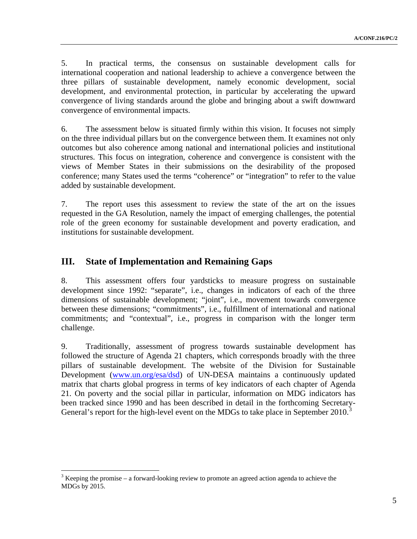5. In practical terms, the consensus on sustainable development calls for international cooperation and national leadership to achieve a convergence between the three pillars of sustainable development, namely economic development, social development, and environmental protection, in particular by accelerating the upward convergence of living standards around the globe and bringing about a swift downward convergence of environmental impacts.

6. The assessment below is situated firmly within this vision. It focuses not simply on the three individual pillars but on the convergence between them. It examines not only outcomes but also coherence among national and international policies and institutional structures. This focus on integration, coherence and convergence is consistent with the views of Member States in their submissions on the desirability of the proposed conference; many States used the terms "coherence" or "integration" to refer to the value added by sustainable development.

7. The report uses this assessment to review the state of the art on the issues requested in the GA Resolution, namely the impact of emerging challenges, the potential role of the green economy for sustainable development and poverty eradication, and institutions for sustainable development.

# **III. State of Implementation and Remaining Gaps**

8. This assessment offers four yardsticks to measure progress on sustainable development since 1992: "separate", i.e., changes in indicators of each of the three dimensions of sustainable development; "joint", i.e., movement towards convergence between these dimensions; "commitments", i.e., fulfillment of international and national commitments; and "contextual", i.e., progress in comparison with the longer term challenge.

9. Traditionally, assessment of progress towards sustainable development has followed the structure of Agenda 21 chapters, which corresponds broadly with the three pillars of sustainable development. The website of the Division for Sustainable Development [\(www.un.org/esa/dsd\)](http://www.un.org/esa/dsd) of UN-DESA maintains a continuously updated matrix that charts global progress in terms of key indicators of each chapter of Agenda 21. On poverty and the social pillar in particular, information on MDG indicators has been tracked since 1990 and has been described in detail in the forthcoming Secretary-General's report for the high-level event on the MDGs to take place in September 2010.<sup>[3](#page-4-0)</sup>

<span id="page-4-0"></span> $3$  Keeping the promise – a forward-looking review to promote an agreed action agenda to achieve the MDGs by 2015.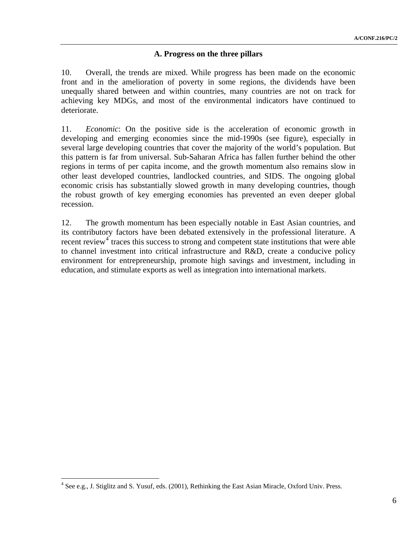## **A. Progress on the three pillars**

10. Overall, the trends are mixed. While progress has been made on the economic front and in the amelioration of poverty in some regions, the dividends have been unequally shared between and within countries, many countries are not on track for achieving key MDGs, and most of the environmental indicators have continued to deteriorate.

11. *Economic*: On the positive side is the acceleration of economic growth in developing and emerging economies since the mid-1990s (see figure), especially in several large developing countries that cover the majority of the world's population. But this pattern is far from universal. Sub-Saharan Africa has fallen further behind the other regions in terms of per capita income, and the growth momentum also remains slow in other least developed countries, landlocked countries, and SIDS. The ongoing global economic crisis has substantially slowed growth in many developing countries, though the robust growth of key emerging economies has prevented an even deeper global recession.

12. The growth momentum has been especially notable in East Asian countries, and its contributory factors have been debated extensively in the professional literature. A recent review<sup>[4](#page-5-0)</sup> traces this success to strong and competent state institutions that were able to channel investment into critical infrastructure and R&D, create a conducive policy environment for entrepreneurship, promote high savings and investment, including in education, and stimulate exports as well as integration into international markets.

<span id="page-5-0"></span><sup>&</sup>lt;sup>4</sup> See e.g., J. Stiglitz and S. Yusuf, eds. (2001), Rethinking the East Asian Miracle, Oxford Univ. Press.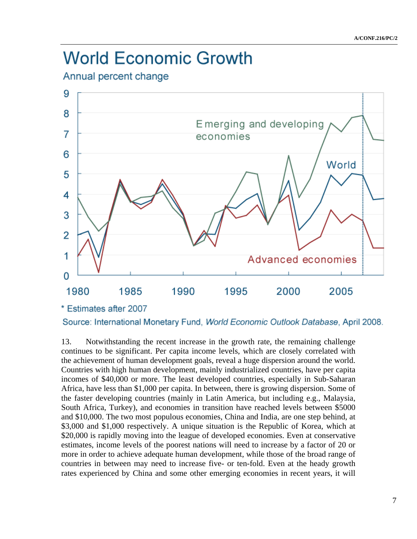# **World Economic Growth**

Annual percent change



Source: International Monetary Fund, World Economic Outlook Database, April 2008.

13. Notwithstanding the recent increase in the growth rate, the remaining challenge continues to be significant. Per capita income levels, which are closely correlated with the achievement of human development goals, reveal a huge dispersion around the world. Countries with high human development, mainly industrialized countries, have per capita incomes of \$40,000 or more. The least developed countries, especially in Sub-Saharan Africa, have less than \$1,000 per capita. In between, there is growing dispersion. Some of the faster developing countries (mainly in Latin America, but including e.g., Malaysia, South Africa, Turkey), and economies in transition have reached levels between \$5000 and \$10,000. The two most populous economies, China and India, are one step behind, at \$3,000 and \$1,000 respectively. A unique situation is the Republic of Korea, which at \$20,000 is rapidly moving into the league of developed economies. Even at conservative estimates, income levels of the poorest nations will need to increase by a factor of 20 or more in order to achieve adequate human development, while those of the broad range of countries in between may need to increase five- or ten-fold. Even at the heady growth rates experienced by China and some other emerging economies in recent years, it will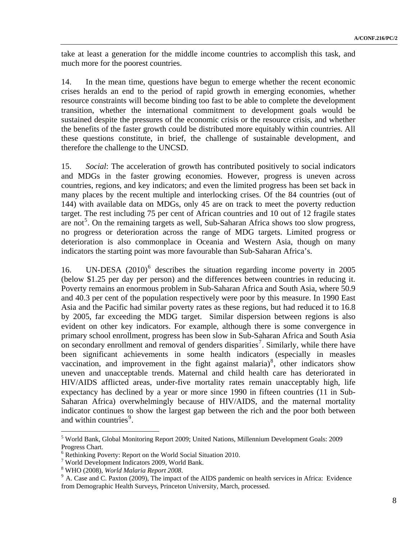take at least a generation for the middle income countries to accomplish this task, and much more for the poorest countries.

14. In the mean time, questions have begun to emerge whether the recent economic crises heralds an end to the period of rapid growth in emerging economies, whether resource constraints will become binding too fast to be able to complete the development transition, whether the international commitment to development goals would be sustained despite the pressures of the economic crisis or the resource crisis, and whether the benefits of the faster growth could be distributed more equitably within countries. All these questions constitute, in brief, the challenge of sustainable development, and therefore the challenge to the UNCSD.

15. *Social*: The acceleration of growth has contributed positively to social indicators and MDGs in the faster growing economies. However, progress is uneven across countries, regions, and key indicators; and even the limited progress has been set back in many places by the recent multiple and interlocking crises. Of the 84 countries (out of 144) with available data on MDGs, only 45 are on track to meet the poverty reduction target. The rest including 75 per cent of African countries and 10 out of 12 fragile states are not<sup>[5](#page-7-0)</sup>. On the remaining targets as well, Sub-Saharan Africa shows too slow progress, no progress or deterioration across the range of MDG targets. Limited progress or deterioration is also commonplace in Oceania and Western Asia, though on many indicators the starting point was more favourable than Sub-Saharan Africa's.

1[6](#page-7-1). UN-DESA (2010)<sup>6</sup> describes the situation regarding income poverty in 2005 (below \$1.25 per day per person) and the differences between countries in reducing it. Poverty remains an enormous problem in Sub-Saharan Africa and South Asia, where 50.9 and 40.3 per cent of the population respectively were poor by this measure. In 1990 East Asia and the Pacific had similar poverty rates as these regions, but had reduced it to 16.8 by 2005, far exceeding the MDG target. Similar dispersion between regions is also evident on other key indicators. For example, although there is some convergence in primary school enrollment, progress has been slow in Sub-Saharan Africa and South Asia on secondary enrollment and removal of genders disparities<sup>[7](#page-7-2)</sup>. Similarly, while there have been significant achievements in some health indicators (especially in measles vaccination, and improvement in the fight against malaria)<sup>[8](#page-7-3)</sup>, other indicators show uneven and unacceptable trends. Maternal and child health care has deteriorated in HIV/AIDS afflicted areas, under-five mortality rates remain unacceptably high, life expectancy has declined by a year or more since 1990 in fifteen countries (11 in Sub-Saharan Africa) overwhelmingly because of HIV/AIDS, and the maternal mortality indicator continues to show the largest gap between the rich and the poor both between and within countries<sup>[9](#page-7-4)</sup>.

<span id="page-7-0"></span><sup>&</sup>lt;sup>5</sup> World Bank, Global Monitoring Report 2009; United Nations, Millennium Development Goals: 2009 Progress Chart.

<span id="page-7-1"></span><sup>6</sup> Rethinking Poverty: Report on the World Social Situation 2010.

<sup>7</sup> World Development Indicators 2009, World Bank.

<span id="page-7-3"></span><span id="page-7-2"></span><sup>&</sup>lt;sup>8</sup> WHO (2008), World Malaria Report 2008.

<span id="page-7-4"></span><sup>&</sup>lt;sup>9</sup> A. Case and C. Paxton (2009), The impact of the AIDS pandemic on health services in Africa: Evidence from Demographic Health Surveys, Princeton University, March, processed.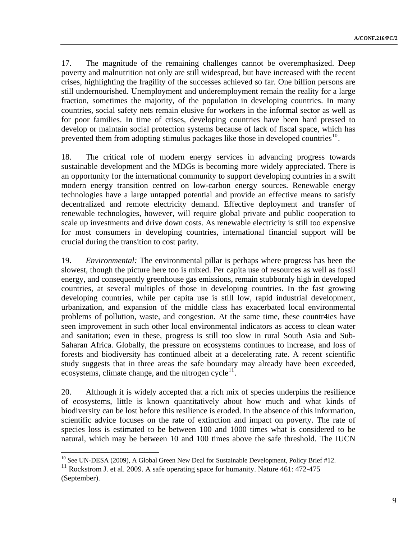17. The magnitude of the remaining challenges cannot be overemphasized. Deep poverty and malnutrition not only are still widespread, but have increased with the recent crises, highlighting the fragility of the successes achieved so far. One billion persons are still undernourished. Unemployment and underemployment remain the reality for a large fraction, sometimes the majority, of the population in developing countries. In many countries, social safety nets remain elusive for workers in the informal sector as well as for poor families. In time of crises, developing countries have been hard pressed to develop or maintain social protection systems because of lack of fiscal space, which has prevented them from adopting stimulus packages like those in developed countries<sup>[10](#page-8-0)</sup>.

18. The critical role of modern energy services in advancing progress towards sustainable development and the MDGs is becoming more widely appreciated. There is an opportunity for the international community to support developing countries in a swift modern energy transition centred on low-carbon energy sources. Renewable energy technologies have a large untapped potential and provide an effective means to satisfy decentralized and remote electricity demand. Effective deployment and transfer of renewable technologies, however, will require global private and public cooperation to scale up investments and drive down costs. As renewable electricity is still too expensive for most consumers in developing countries, international financial support will be crucial during the transition to cost parity.

19. *Environmental:* The environmental pillar is perhaps where progress has been the slowest, though the picture here too is mixed. Per capita use of resources as well as fossil energy, and consequently greenhouse gas emissions, remain stubbornly high in developed countries, at several multiples of those in developing countries. In the fast growing developing countries, while per capita use is still low, rapid industrial development, urbanization, and expansion of the middle class has exacerbated local environmental problems of pollution, waste, and congestion. At the same time, these countr4ies have seen improvement in such other local environmental indicators as access to clean water and sanitation; even in these, progress is still too slow in rural South Asia and Sub-Saharan Africa. Globally, the pressure on ecosystems continues to increase, and loss of forests and biodiversity has continued albeit at a decelerating rate. A recent scientific study suggests that in three areas the safe boundary may already have been exceeded, ecosystems, climate change, and the nitrogen cycle<sup>[11](#page-8-1)</sup>.

20. Although it is widely accepted that a rich mix of species underpins the resilience of ecosystems, little is known quantitatively about how much and what kinds of biodiversity can be lost before this resilience is eroded. In the absence of this information, scientific advice focuses on the rate of extinction and impact on poverty. The rate of species loss is estimated to be between 100 and 1000 times what is considered to be natural, which may be between 10 and 100 times above the safe threshold. The IUCN

<sup>&</sup>lt;sup>10</sup> See UN-DESA (2009), A Global Green New Deal for Sustainable Development, Policy Brief #12.

<span id="page-8-1"></span><span id="page-8-0"></span> $11$  Rockstrom J. et al. 2009. A safe operating space for humanity. Nature 461: 472-475 (September).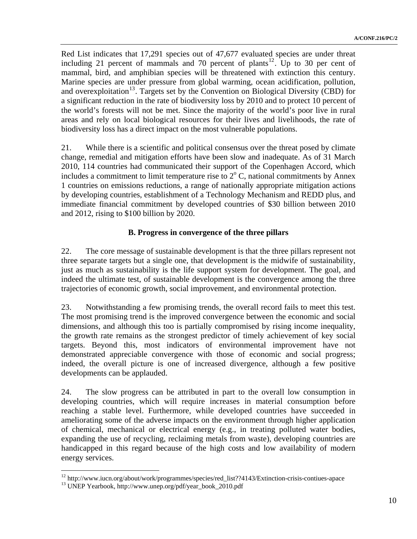Red List indicates that 17,291 species out of 47,677 evaluated species are under threat including 21 percent of mammals and 70 percent of plants<sup>12</sup>. Up to 30 per cent of mammal, bird, and amphibian species will be threatened with extinction this century. Marine species are under pressure from global warming, ocean acidification, pollution, and overexploitation<sup>13</sup>. Targets set by the Convention on Biological Diversity (CBD) for a significant reduction in the rate of biodiversity loss by 2010 and to protect 10 percent of the world's forests will not be met. Since the majority of the world's poor live in rural areas and rely on local biological resources for their lives and livelihoods, the rate of biodiversity loss has a direct impact on the most vulnerable populations.

21. While there is a scientific and political consensus over the threat posed by climate change, remedial and mitigation efforts have been slow and inadequate. As of 31 March 2010, 114 countries had communicated their support of the Copenhagen Accord, which includes a commitment to limit temperature rise to  $2^{\circ}$  C, national commitments by Annex 1 countries on emissions reductions, a range of nationally appropriate mitigation actions by developing countries, establishment of a Technology Mechanism and REDD plus, and immediate financial commitment by developed countries of \$30 billion between 2010 and 2012, rising to \$100 billion by 2020.

## **B. Progress in convergence of the three pillars**

22. The core message of sustainable development is that the three pillars represent not three separate targets but a single one, that development is the midwife of sustainability, just as much as sustainability is the life support system for development. The goal, and indeed the ultimate test, of sustainable development is the convergence among the three trajectories of economic growth, social improvement, and environmental protection.

23. Notwithstanding a few promising trends, the overall record fails to meet this test. The most promising trend is the improved convergence between the economic and social dimensions, and although this too is partially compromised by rising income inequality, the growth rate remains as the strongest predictor of timely achievement of key social targets. Beyond this, most indicators of environmental improvement have not demonstrated appreciable convergence with those of economic and social progress; indeed, the overall picture is one of increased divergence, although a few positive developments can be applauded.

24. The slow progress can be attributed in part to the overall low consumption in developing countries, which will require increases in material consumption before reaching a stable level. Furthermore, while developed countries have succeeded in ameliorating some of the adverse impacts on the environment through higher application of chemical, mechanical or electrical energy (e.g., in treating polluted water bodies, expanding the use of recycling, reclaiming metals from waste), developing countries are handicapped in this regard because of the high costs and low availability of modern energy services.

<sup>&</sup>lt;sup>12</sup> http://www.iucn.org/about/work/programmes/species/red\_list??4143/Extinction-crisis-contiues-apace <sup>13</sup> UNEP Yearbook, http://www.unep.org/pdf/year\_book\_2010.pdf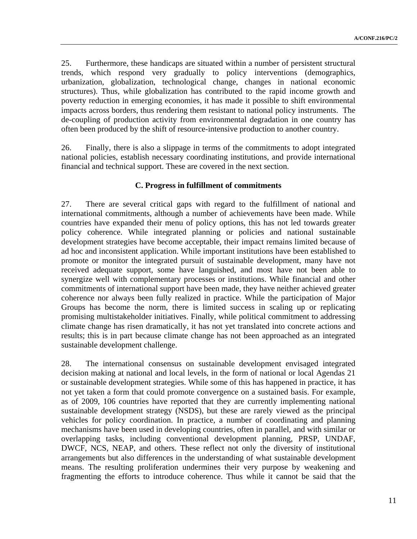25. Furthermore, these handicaps are situated within a number of persistent structural trends, which respond very gradually to policy interventions (demographics, urbanization, globalization, technological change, changes in national economic structures). Thus, while globalization has contributed to the rapid income growth and poverty reduction in emerging economies, it has made it possible to shift environmental impacts across borders, thus rendering them resistant to national policy instruments. The de-coupling of production activity from environmental degradation in one country has often been produced by the shift of resource-intensive production to another country.

26. Finally, there is also a slippage in terms of the commitments to adopt integrated national policies, establish necessary coordinating institutions, and provide international financial and technical support. These are covered in the next section.

#### **C. Progress in fulfillment of commitments**

27. There are several critical gaps with regard to the fulfillment of national and international commitments, although a number of achievements have been made. While countries have expanded their menu of policy options, this has not led towards greater policy coherence. While integrated planning or policies and national sustainable development strategies have become acceptable, their impact remains limited because of ad hoc and inconsistent application. While important institutions have been established to promote or monitor the integrated pursuit of sustainable development, many have not received adequate support, some have languished, and most have not been able to synergize well with complementary processes or institutions. While financial and other commitments of international support have been made, they have neither achieved greater coherence nor always been fully realized in practice. While the participation of Major Groups has become the norm, there is limited success in scaling up or replicating promising multistakeholder initiatives. Finally, while political commitment to addressing climate change has risen dramatically, it has not yet translated into concrete actions and results; this is in part because climate change has not been approached as an integrated sustainable development challenge.

28. The international consensus on sustainable development envisaged integrated decision making at national and local levels, in the form of national or local Agendas 21 or sustainable development strategies. While some of this has happened in practice, it has not yet taken a form that could promote convergence on a sustained basis. For example, as of 2009, 106 countries have reported that they are currently implementing national sustainable development strategy (NSDS), but these are rarely viewed as the principal vehicles for policy coordination. In practice, a number of coordinating and planning mechanisms have been used in developing countries, often in parallel, and with similar or overlapping tasks, including conventional development planning, PRSP, UNDAF, DWCF, NCS, NEAP, and others. These reflect not only the diversity of institutional arrangements but also differences in the understanding of what sustainable development means. The resulting proliferation undermines their very purpose by weakening and fragmenting the efforts to introduce coherence. Thus while it cannot be said that the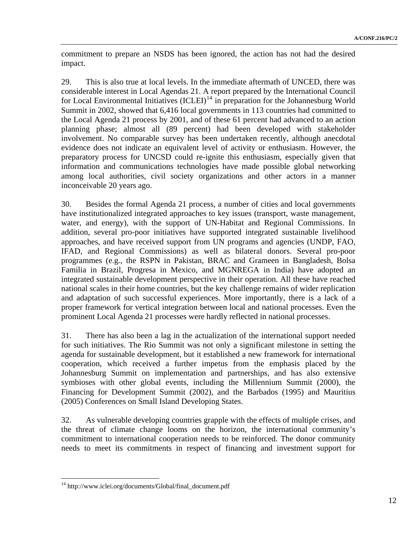commitment to prepare an NSDS has been ignored, the action has not had the desired impact.

29. This is also true at local levels. In the immediate aftermath of UNCED, there was considerable interest in Local Agendas 21. A report prepared by the International Council for Local Environmental Initiatives  ${[ICLEI]}<sup>14</sup>$  ${[ICLEI]}<sup>14</sup>$  ${[ICLEI]}<sup>14</sup>$  in preparation for the Johannesburg World Summit in 2002, showed that 6,416 local governments in 113 countries had committed to the Local Agenda 21 process by 2001, and of these 61 percent had advanced to an action planning phase; almost all (89 percent) had been developed with stakeholder involvement. No comparable survey has been undertaken recently, although anecdotal evidence does not indicate an equivalent level of activity or enthusiasm. However, the preparatory process for UNCSD could re-ignite this enthusiasm, especially given that information and communications technologies have made possible global networking among local authorities, civil society organizations and other actors in a manner inconceivable 20 years ago.

30. Besides the formal Agenda 21 process, a number of cities and local governments have institutionalized integrated approaches to key issues (transport, waste management, water, and energy), with the support of UN-Habitat and Regional Commissions. In addition, several pro-poor initiatives have supported integrated sustainable livelihood approaches, and have received support from UN programs and agencies (UNDP, FAO, IFAD, and Regional Commissions) as well as bilateral donors. Several pro-poor programmes (e.g., the RSPN in Pakistan, BRAC and Grameen in Bangladesh, Bolsa Familia in Brazil, Progresa in Mexico, and MGNREGA in India) have adopted an integrated sustainable development perspective in their operation. All these have reached national scales in their home countries, but the key challenge remains of wider replication and adaptation of such successful experiences. More importantly, there is a lack of a proper framework for vertical integration between local and national processes. Even the prominent Local Agenda 21 processes were hardly reflected in national processes.

31. There has also been a lag in the actualization of the international support needed for such initiatives. The Rio Summit was not only a significant milestone in setting the agenda for sustainable development, but it established a new framework for international cooperation, which received a further impetus from the emphasis placed by the Johannesburg Summit on implementation and partnerships, and has also extensive symbioses with other global events, including the Millennium Summit (2000), the Financing for Development Summit (2002), and the Barbados (1995) and Mauritius (2005) Conferences on Small Island Developing States.

32. As vulnerable developing countries grapple with the effects of multiple crises, and the threat of climate change looms on the horizon, the international community's commitment to international cooperation needs to be reinforced. The donor community needs to meet its commitments in respect of financing and investment support for

<span id="page-11-0"></span><sup>&</sup>lt;sup>14</sup> http://www.iclei.org/documents/Global/final\_document.pdf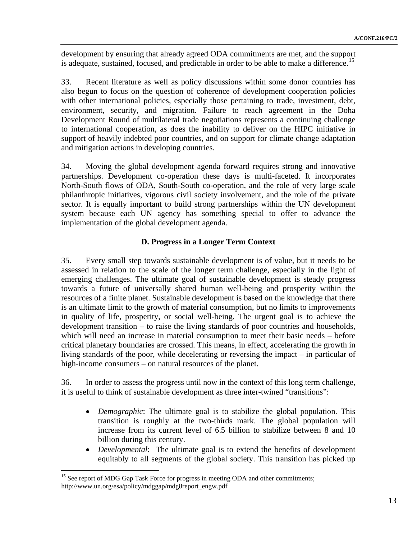development by ensuring that already agreed ODA commitments are met, and the support is adequate, sustained, focused, and predictable in order to be able to make a difference.<sup>15</sup>

33. Recent literature as well as policy discussions within some donor countries has also begun to focus on the question of coherence of development cooperation policies with other international policies, especially those pertaining to trade, investment, debt, environment, security, and migration. Failure to reach agreement in the Doha Development Round of multilateral trade negotiations represents a continuing challenge to international cooperation, as does the inability to deliver on the HIPC initiative in support of heavily indebted poor countries, and on support for climate change adaptation and mitigation actions in developing countries.

34. Moving the global development agenda forward requires strong and innovative partnerships. Development co-operation these days is multi-faceted. It incorporates North-South flows of ODA, South-South co-operation, and the role of very large scale philanthropic initiatives, vigorous civil society involvement, and the role of the private sector. It is equally important to build strong partnerships within the UN development system because each UN agency has something special to offer to advance the implementation of the global development agenda.

## **D. Progress in a Longer Term Context**

35. Every small step towards sustainable development is of value, but it needs to be assessed in relation to the scale of the longer term challenge, especially in the light of emerging challenges. The ultimate goal of sustainable development is steady progress towards a future of universally shared human well-being and prosperity within the resources of a finite planet. Sustainable development is based on the knowledge that there is an ultimate limit to the growth of material consumption, but no limits to improvements in quality of life, prosperity, or social well-being. The urgent goal is to achieve the development transition – to raise the living standards of poor countries and households, which will need an increase in material consumption to meet their basic needs – before critical planetary boundaries are crossed. This means, in effect, accelerating the growth in living standards of the poor, while decelerating or reversing the impact – in particular of high-income consumers – on natural resources of the planet.

36. In order to assess the progress until now in the context of this long term challenge, it is useful to think of sustainable development as three inter-twined "transitions":

- *Demographic*: The ultimate goal is to stabilize the global population. This transition is roughly at the two-thirds mark. The global population will increase from its current level of 6.5 billion to stabilize between 8 and 10 billion during this century.
- *Developmental*: The ultimate goal is to extend the benefits of development equitably to all segments of the global society. This transition has picked up

1

<sup>&</sup>lt;sup>15</sup> See report of MDG Gap Task Force for progress in meeting ODA and other commitments; http://www.un.org/esa/policy/mdggap/mdg8report\_engw.pdf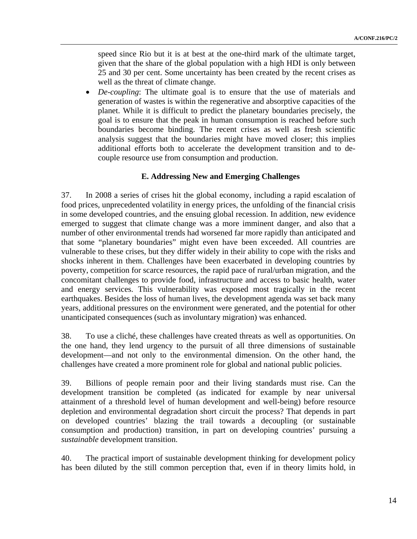speed since Rio but it is at best at the one-third mark of the ultimate target, given that the share of the global population with a high HDI is only between 25 and 30 per cent. Some uncertainty has been created by the recent crises as well as the threat of climate change.

• *De-coupling*: The ultimate goal is to ensure that the use of materials and generation of wastes is within the regenerative and absorptive capacities of the planet. While it is difficult to predict the planetary boundaries precisely, the goal is to ensure that the peak in human consumption is reached before such boundaries become binding. The recent crises as well as fresh scientific analysis suggest that the boundaries might have moved closer; this implies additional efforts both to accelerate the development transition and to decouple resource use from consumption and production.

#### **E. Addressing New and Emerging Challenges**

37. In 2008 a series of crises hit the global economy, including a rapid escalation of food prices, unprecedented volatility in energy prices, the unfolding of the financial crisis in some developed countries, and the ensuing global recession. In addition, new evidence emerged to suggest that climate change was a more imminent danger, and also that a number of other environmental trends had worsened far more rapidly than anticipated and that some "planetary boundaries" might even have been exceeded. All countries are vulnerable to these crises, but they differ widely in their ability to cope with the risks and shocks inherent in them. Challenges have been exacerbated in developing countries by poverty, competition for scarce resources, the rapid pace of rural/urban migration, and the concomitant challenges to provide food, infrastructure and access to basic health, water and energy services. This vulnerability was exposed most tragically in the recent earthquakes. Besides the loss of human lives, the development agenda was set back many years, additional pressures on the environment were generated, and the potential for other unanticipated consequences (such as involuntary migration) was enhanced.

38. To use a cliché, these challenges have created threats as well as opportunities. On the one hand, they lend urgency to the pursuit of all three dimensions of sustainable development—and not only to the environmental dimension. On the other hand, the challenges have created a more prominent role for global and national public policies.

39. Billions of people remain poor and their living standards must rise. Can the development transition be completed (as indicated for example by near universal attainment of a threshold level of human development and well-being) before resource depletion and environmental degradation short circuit the process? That depends in part on developed countries' blazing the trail towards a decoupling (or sustainable consumption and production) transition, in part on developing countries' pursuing a *sustainable* development transition.

40. The practical import of sustainable development thinking for development policy has been diluted by the still common perception that, even if in theory limits hold, in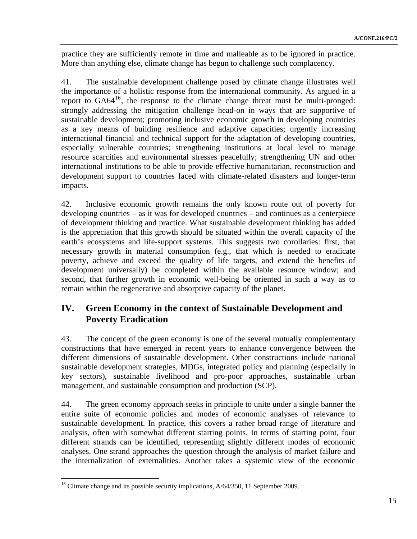practice they are sufficiently remote in time and malleable as to be ignored in practice. More than anything else, climate change has begun to challenge such complacency.

41. The sustainable development challenge posed by climate change illustrates well the importance of a holistic response from the international community. As argued in a report to GA64[16](#page-14-0), the response to the climate change threat must be multi-pronged: strongly addressing the mitigation challenge head-on in ways that are supportive of sustainable development; promoting inclusive economic growth in developing countries as a key means of building resilience and adaptive capacities; urgently increasing international financial and technical support for the adaptation of developing countries, especially vulnerable countries; strengthening institutions at local level to manage resource scarcities and environmental stresses peacefully; strengthening UN and other international institutions to be able to provide effective humanitarian, reconstruction and development support to countries faced with climate-related disasters and longer-term impacts.

42. Inclusive economic growth remains the only known route out of poverty for developing countries – as it was for developed countries – and continues as a centerpiece of development thinking and practice. What sustainable development thinking has added is the appreciation that this growth should be situated within the overall capacity of the earth's ecosystems and life-support systems. This suggests two corollaries: first, that necessary growth in material consumption (e.g., that which is needed to eradicate poverty, achieve and exceed the quality of life targets, and extend the benefits of development universally) be completed within the available resource window; and second, that further growth in economic well-being be oriented in such a way as to remain within the regenerative and absorptive capacity of the planet.

# **IV. Green Economy in the context of Sustainable Development and Poverty Eradication**

43. The concept of the green economy is one of the several mutually complementary constructions that have emerged in recent years to enhance convergence between the different dimensions of sustainable development. Other constructions include national sustainable development strategies, MDGs, integrated policy and planning (especially in key sectors), sustainable livelihood and pro-poor approaches, sustainable urban management, and sustainable consumption and production (SCP).

44. The green economy approach seeks in principle to unite under a single banner the entire suite of economic policies and modes of economic analyses of relevance to sustainable development. In practice, this covers a rather broad range of literature and analysis, often with somewhat different starting points. In terms of starting point, four different strands can be identified, representing slightly different modes of economic analyses. One strand approaches the question through the analysis of market failure and the internalization of externalities. Another takes a systemic view of the economic

<span id="page-14-0"></span><sup>&</sup>lt;sup>16</sup> Climate change and its possible security implications, A/64/350, 11 September 2009.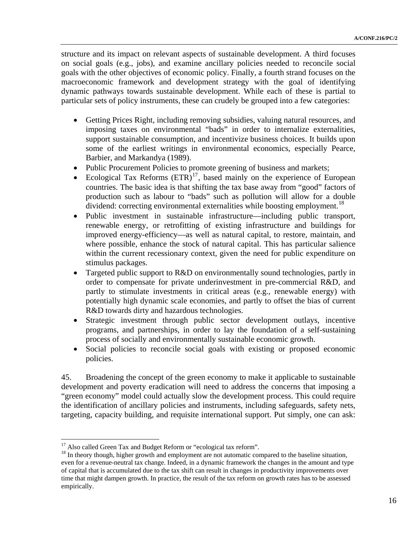structure and its impact on relevant aspects of sustainable development. A third focuses on social goals (e.g., jobs), and examine ancillary policies needed to reconcile social goals with the other objectives of economic policy. Finally, a fourth strand focuses on the macroeconomic framework and development strategy with the goal of identifying dynamic pathways towards sustainable development. While each of these is partial to particular sets of policy instruments, these can crudely be grouped into a few categories:

- Getting Prices Right, including removing subsidies, valuing natural resources, and imposing taxes on environmental "bads" in order to internalize externalities, support sustainable consumption, and incentivize business choices. It builds upon some of the earliest writings in environmental economics, especially Pearce, Barbier, and Markandya (1989).
- Public Procurement Policies to promote greening of business and markets;
- Ecological Tax Reforms  $(ETR)^{17}$  $(ETR)^{17}$  $(ETR)^{17}$ , based mainly on the experience of European countries. The basic idea is that shifting the tax base away from "good" factors of production such as labour to "bads" such as pollution will allow for a double dividend: correcting environmental externalities while boosting employment.<sup>[18](#page-15-1)</sup>
- Public investment in sustainable infrastructure—including public transport, renewable energy, or retrofitting of existing infrastructure and buildings for improved energy-efficiency—as well as natural capital, to restore, maintain, and where possible, enhance the stock of natural capital. This has particular salience within the current recessionary context, given the need for public expenditure on stimulus packages.
- Targeted public support to R&D on environmentally sound technologies, partly in order to compensate for private underinvestment in pre-commercial R&D, and partly to stimulate investments in critical areas (e.g., renewable energy) with potentially high dynamic scale economies, and partly to offset the bias of current R&D towards dirty and hazardous technologies.
- Strategic investment through public sector development outlays, incentive programs, and partnerships, in order to lay the foundation of a self-sustaining process of socially and environmentally sustainable economic growth.
- Social policies to reconcile social goals with existing or proposed economic policies.

45. Broadening the concept of the green economy to make it applicable to sustainable development and poverty eradication will need to address the concerns that imposing a "green economy" model could actually slow the development process. This could require the identification of ancillary policies and instruments, including safeguards, safety nets, targeting, capacity building, and requisite international support. Put simply, one can ask:

<span id="page-15-0"></span><sup>&</sup>lt;sup>17</sup> Also called Green Tax and Budget Reform or "ecological tax reform".

<span id="page-15-1"></span><sup>&</sup>lt;sup>18</sup> In theory though, higher growth and employment are not automatic compared to the baseline situation, even for a revenue-neutral tax change. Indeed, in a dynamic framework the changes in the amount and type of capital that is accumulated due to the tax shift can result in changes in productivity improvements over time that might dampen growth. In practice, the result of the tax reform on growth rates has to be assessed empirically.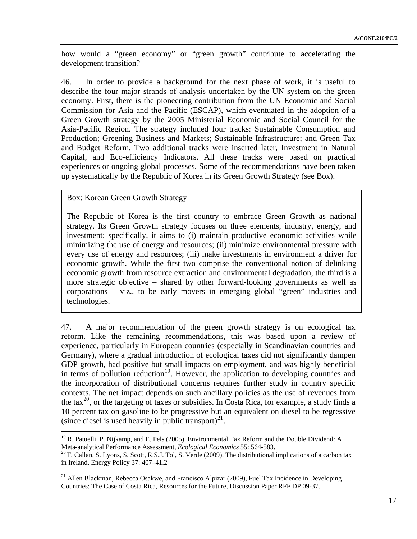how would a "green economy" or "green growth" contribute to accelerating the development transition?

46. In order to provide a background for the next phase of work, it is useful to describe the four major strands of analysis undertaken by the UN system on the green economy. First, there is the pioneering contribution from the UN Economic and Social Commission for Asia and the Pacific (ESCAP), which eventuated in the adoption of a Green Growth strategy by the 2005 Ministerial Economic and Social Council for the Asia-Pacific Region. The strategy included four tracks: Sustainable Consumption and Production; Greening Business and Markets; Sustainable Infrastructure; and Green Tax and Budget Reform. Two additional tracks were inserted later, Investment in Natural Capital, and Eco-efficiency Indicators. All these tracks were based on practical experiences or ongoing global processes. Some of the recommendations have been taken up systematically by the Republic of Korea in its Green Growth Strategy (see Box).

Box: Korean Green Growth Strategy

<u>.</u>

The Republic of Korea is the first country to embrace Green Growth as national strategy. Its Green Growth strategy focuses on three elements, industry, energy, and investment; specifically, it aims to (i) maintain productive economic activities while minimizing the use of energy and resources; (ii) minimize environmental pressure with every use of energy and resources; (iii) make investments in environment a driver for economic growth. While the first two comprise the conventional notion of delinking economic growth from resource extraction and environmental degradation, the third is a more strategic objective – shared by other forward-looking governments as well as corporations – viz., to be early movers in emerging global "green" industries and technologies.

47. A major recommendation of the green growth strategy is on ecological tax reform. Like the remaining recommendations, this was based upon a review of experience, particularly in European countries (especially in Scandinavian countries and Germany), where a gradual introduction of ecological taxes did not significantly dampen GDP growth, had positive but small impacts on employment, and was highly beneficial in terms of pollution reduction<sup>[19](#page-16-0)</sup>. However, the application to developing countries and the incorporation of distributional concerns requires further study in country specific contexts. The net impact depends on such ancillary policies as the use of revenues from the tax<sup>[20](#page-16-1)</sup>, or the targeting of taxes or subsidies. In Costa Rica, for example, a study finds a 10 percent tax on gasoline to be progressive but an equivalent on diesel to be regressive (since diesel is used heavily in public transport)<sup>[21](#page-16-2)</sup>.

<span id="page-16-0"></span><sup>&</sup>lt;sup>19</sup> R. Patuelli, P. Nijkamp, and E. Pels (2005), Environmental Tax Reform and the Double Dividend: A Meta-analytical Performance Assessment, *Ecological Economics* 55: 564-583.

<span id="page-16-1"></span><sup>&</sup>lt;sup>20</sup> T. Callan, S. Lyons, S. Scott, R.S.J. Tol, S. Verde (2009), The distributional implications of a carbon tax in Ireland, Energy Policy 37: 407–41.2

<span id="page-16-2"></span> $21$  Allen Blackman, Rebecca Osakwe, and Francisco Alpizar (2009), Fuel Tax Incidence in Developing Countries: The Case of Costa Rica, Resources for the Future, Discussion Paper RFF DP 09-37.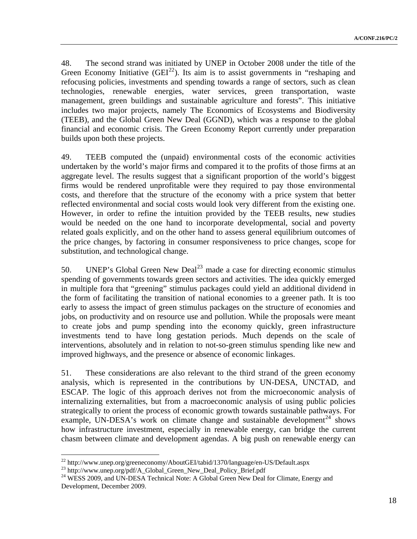48. The second strand was initiated by UNEP in October 2008 under the title of the Green Economy Initiative  $(GEI^{22})$  $(GEI^{22})$  $(GEI^{22})$ . Its aim is to assist governments in "reshaping and refocusing policies, investments and spending towards a range of sectors, such as clean technologies, renewable energies, water services, green transportation, waste management, green buildings and sustainable agriculture and forests". This initiative includes two major projects, namely The Economics of Ecosystems and Biodiversity (TEEB), and the Global Green New Deal (GGND), which was a response to the global financial and economic crisis. The Green Economy Report currently under preparation builds upon both these projects.

49. TEEB computed the (unpaid) environmental costs of the economic activities undertaken by the world's major firms and compared it to the profits of those firms at an aggregate level. The results suggest that a significant proportion of the world's biggest firms would be rendered unprofitable were they required to pay those environmental costs, and therefore that the structure of the economy with a price system that better reflected environmental and social costs would look very different from the existing one. However, in order to refine the intuition provided by the TEEB results, new studies would be needed on the one hand to incorporate developmental, social and poverty related goals explicitly, and on the other hand to assess general equilibrium outcomes of the price changes, by factoring in consumer responsiveness to price changes, scope for substitution, and technological change.

50. UNEP's Global Green New Deal<sup>[23](#page-17-1)</sup> made a case for directing economic stimulus spending of governments towards green sectors and activities. The idea quickly emerged in multiple fora that "greening" stimulus packages could yield an additional dividend in the form of facilitating the transition of national economies to a greener path. It is too early to assess the impact of green stimulus packages on the structure of economies and jobs, on productivity and on resource use and pollution. While the proposals were meant to create jobs and pump spending into the economy quickly, green infrastructure investments tend to have long gestation periods. Much depends on the scale of interventions, absolutely and in relation to not-so-green stimulus spending like new and improved highways, and the presence or absence of economic linkages.

51. These considerations are also relevant to the third strand of the green economy analysis, which is represented in the contributions by UN-DESA, UNCTAD, and ESCAP. The logic of this approach derives not from the microeconomic analysis of internalizing externalities, but from a macroeconomic analysis of using public policies strategically to orient the process of economic growth towards sustainable pathways. For example, UN-DESA's work on climate change and sustainable development<sup>[24](#page-17-2)</sup> shows how infrastructure investment, especially in renewable energy, can bridge the current chasm between climate and development agendas. A big push on renewable energy can

 $^{22}$  http://www.unep.org/greeneconomy/AboutGEI/tabid/1370/language/en-US/Default.aspx

<span id="page-17-1"></span><span id="page-17-0"></span><sup>&</sup>lt;sup>23</sup> http://www.unep.org/pdf/A\_Global\_Green\_New\_Deal\_Policy\_Brief.pdf

<span id="page-17-2"></span><sup>&</sup>lt;sup>24</sup> WESS 2009, and UN-DESA Technical Note: A Global Green New Deal for Climate, Energy and Development, December 2009.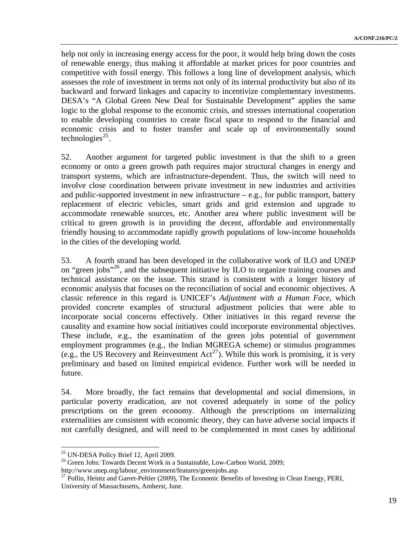help not only in increasing energy access for the poor, it would help bring down the costs of renewable energy, thus making it affordable at market prices for poor countries and competitive with fossil energy. This follows a long line of development analysis, which assesses the role of investment in terms not only of its internal productivity but also of its backward and forward linkages and capacity to incentivize complementary investments. DESA's "A Global Green New Deal for Sustainable Development" applies the same logic to the global response to the economic crisis, and stresses international cooperation to enable developing countries to create fiscal space to respond to the financial and economic crisis and to foster transfer and scale up of environmentally sound technologies<sup>25</sup>.

52. Another argument for targeted public investment is that the shift to a green economy or onto a green growth path requires major structural changes in energy and transport systems, which are infrastructure-dependent. Thus, the switch will need to involve close coordination between private investment in new industries and activities and public-supported investment in new infrastructure  $-e.g.,$  for public transport, battery replacement of electric vehicles, smart grids and grid extension and upgrade to accommodate renewable sources, etc. Another area where public investment will be critical to green growth is in providing the decent, affordable and environmentally friendly housing to accommodate rapidly growth populations of low-income households in the cities of the developing world.

53. A fourth strand has been developed in the collaborative work of ILO and UNEP on "green jobs"<sup>[26](#page-18-0)</sup>, and the subsequent initiative by ILO to organize training courses and technical assistance on the issue. This strand is consistent with a longer history of economic analysis that focuses on the reconciliation of social and economic objectives. A classic reference in this regard is UNICEF's *Adjustment with a Human Face*, which provided concrete examples of structural adjustment policies that were able to incorporate social concerns effectively. Other initiatives in this regard reverse the causality and examine how social initiatives could incorporate environmental objectives. These include, e.g., the examination of the green jobs potential of government employment programmes (e.g., the Indian MGREGA scheme) or stimulus programmes (e.g., the US Recovery and Reinvestment  $Act^{27}$  $Act^{27}$  $Act^{27}$ ). While this work is promising, it is very preliminary and based on limited empirical evidence. Further work will be needed in future.

54. More broadly, the fact remains that developmental and social dimensions, in particular poverty eradication, are not covered adequately in some of the policy prescriptions on the green economy. Although the prescriptions on internalizing externalities are consistent with economic theory, they can have adverse social impacts if not carefully designed, and will need to be complemented in most cases by additional

1

<sup>&</sup>lt;sup>25</sup> UN-DESA Policy Brief 12, April 2009.

<sup>&</sup>lt;sup>26</sup> Green Jobs: Towards Decent Work in a Sustainable, Low-Carbon World, 2009;

<span id="page-18-1"></span><span id="page-18-0"></span>http://www.unep.org/labour\_environment/features/greenjobs.asp 27 Pollin, Heintz and Garret-Peltier (2009), The Economic Benefits of Investing in Clean Energy, PERI, University of Massachusetts, Amherst, June.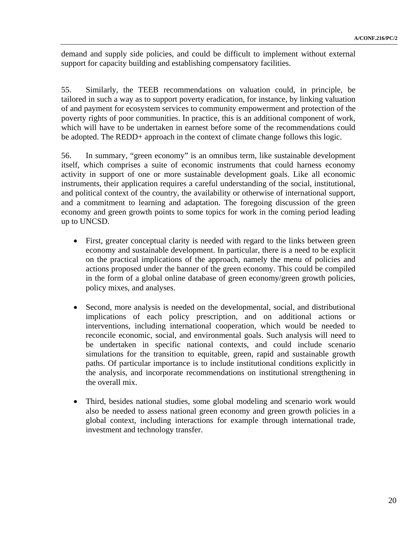demand and supply side policies, and could be difficult to implement without external support for capacity building and establishing compensatory facilities.

55. Similarly, the TEEB recommendations on valuation could, in principle, be tailored in such a way as to support poverty eradication, for instance, by linking valuation of and payment for ecosystem services to community empowerment and protection of the poverty rights of poor communities. In practice, this is an additional component of work, which will have to be undertaken in earnest before some of the recommendations could be adopted. The REDD+ approach in the context of climate change follows this logic.

56. In summary, "green economy" is an omnibus term, like sustainable development itself, which comprises a suite of economic instruments that could harness economy activity in support of one or more sustainable development goals. Like all economic instruments, their application requires a careful understanding of the social, institutional, and political context of the country, the availability or otherwise of international support, and a commitment to learning and adaptation. The foregoing discussion of the green economy and green growth points to some topics for work in the coming period leading up to UNCSD.

- First, greater conceptual clarity is needed with regard to the links between green economy and sustainable development. In particular, there is a need to be explicit on the practical implications of the approach, namely the menu of policies and actions proposed under the banner of the green economy. This could be compiled in the form of a global online database of green economy/green growth policies, policy mixes, and analyses.
- Second, more analysis is needed on the developmental, social, and distributional implications of each policy prescription, and on additional actions or interventions, including international cooperation, which would be needed to reconcile economic, social, and environmental goals. Such analysis will need to be undertaken in specific national contexts, and could include scenario simulations for the transition to equitable, green, rapid and sustainable growth paths. Of particular importance is to include institutional conditions explicitly in the analysis, and incorporate recommendations on institutional strengthening in the overall mix.
- Third, besides national studies, some global modeling and scenario work would also be needed to assess national green economy and green growth policies in a global context, including interactions for example through international trade, investment and technology transfer.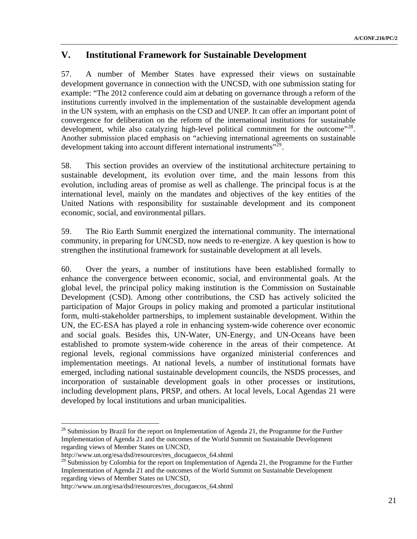# **V. Institutional Framework for Sustainable Development**

57. A number of Member States have expressed their views on sustainable development governance in connection with the UNCSD, with one submission stating for example: "The 2012 conference could aim at debating on governance through a reform of the institutions currently involved in the implementation of the sustainable development agenda in the UN system, with an emphasis on the CSD and UNEP. It can offer an important point of convergence for deliberation on the reform of the international institutions for sustainable development, while also catalyzing high-level political commitment for the outcome"<sup>[28](#page-20-0)</sup>. Another submission placed emphasis on "achieving international agreements on sustainable development taking into account different international instruments<sup>"[29](#page-20-1)</sup>.

58. This section provides an overview of the institutional architecture pertaining to sustainable development, its evolution over time, and the main lessons from this evolution, including areas of promise as well as challenge. The principal focus is at the international level, mainly on the mandates and objectives of the key entities of the United Nations with responsibility for sustainable development and its component economic, social, and environmental pillars.

59. The Rio Earth Summit energized the international community. The international community, in preparing for UNCSD, now needs to re-energize. A key question is how to strengthen the institutional framework for sustainable development at all levels.

60. Over the years, a number of institutions have been established formally to enhance the convergence between economic, social, and environmental goals. At the global level, the principal policy making institution is the Commission on Sustainable Development (CSD). Among other contributions, the CSD has actively solicited the participation of Major Groups in policy making and promoted a particular institutional form, multi-stakeholder partnerships, to implement sustainable development. Within the UN, the EC-ESA has played a role in enhancing system-wide coherence over economic and social goals. Besides this, UN-Water, UN-Energy, and UN-Oceans have been established to promote system-wide coherence in the areas of their competence. At regional levels, regional commissions have organized ministerial conferences and implementation meetings. At national levels, a number of institutional formats have emerged, including national sustainable development councils, the NSDS processes, and incorporation of sustainable development goals in other processes or institutions, including development plans, PRSP, and others. At local levels, Local Agendas 21 were developed by local institutions and urban municipalities.

<span id="page-20-0"></span><sup>&</sup>lt;sup>28</sup> Submission by Brazil for the report on Implementation of Agenda 21, the Programme for the Further Implementation of Agenda 21 and the outcomes of the World Summit on Sustainable Development regarding views of Member States on UNCSD,

http://www.un.org/esa/dsd/resources/res\_docugaecos\_64.shtml

<span id="page-20-1"></span> $^{29}$  Submission by Colombia for the report on Implementation of Agenda 21, the Programme for the Further Implementation of Agenda 21 and the outcomes of the World Summit on Sustainable Development regarding views of Member States on UNCSD,

http://www.un.org/esa/dsd/resources/res\_docugaecos\_64.shtml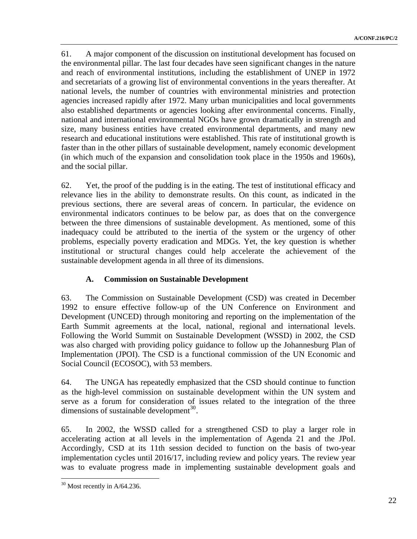61. A major component of the discussion on institutional development has focused on the environmental pillar. The last four decades have seen significant changes in the nature and reach of environmental institutions, including the establishment of UNEP in 1972 and secretariats of a growing list of environmental conventions in the years thereafter. At national levels, the number of countries with environmental ministries and protection agencies increased rapidly after 1972. Many urban municipalities and local governments also established departments or agencies looking after environmental concerns. Finally, national and international environmental NGOs have grown dramatically in strength and size, many business entities have created environmental departments, and many new research and educational institutions were established. This rate of institutional growth is faster than in the other pillars of sustainable development, namely economic development (in which much of the expansion and consolidation took place in the 1950s and 1960s), and the social pillar.

62. Yet, the proof of the pudding is in the eating. The test of institutional efficacy and relevance lies in the ability to demonstrate results. On this count, as indicated in the previous sections, there are several areas of concern. In particular, the evidence on environmental indicators continues to be below par, as does that on the convergence between the three dimensions of sustainable development. As mentioned, some of this inadequacy could be attributed to the inertia of the system or the urgency of other problems, especially poverty eradication and MDGs. Yet, the key question is whether institutional or structural changes could help accelerate the achievement of the sustainable development agenda in all three of its dimensions.

## **A. Commission on Sustainable Development**

63. The Commission on Sustainable Development (CSD) was created in December 1992 to ensure effective follow-up of the UN Conference on Environment and Development (UNCED) through monitoring and reporting on the implementation of the Earth Summit agreements at the local, national, regional and international levels. Following the World Summit on Sustainable Development (WSSD) in 2002, the CSD was also charged with providing policy guidance to follow up the Johannesburg Plan of Implementation (JPOI). The CSD is a functional commission of the UN Economic and Social Council (ECOSOC), with 53 members.

64. The UNGA has repeatedly emphasized that the CSD should continue to function as the high-level commission on sustainable development within the UN system and serve as a forum for consideration of issues related to the integration of the three dimensions of sustainable development $^{30}$  $^{30}$  $^{30}$ .

65. In 2002, the WSSD called for a strengthened CSD to play a larger role in accelerating action at all levels in the implementation of Agenda 21 and the JPoI. Accordingly, CSD at its 11th session decided to function on the basis of two-year implementation cycles until 2016/17, including review and policy years. The review year was to evaluate progress made in implementing sustainable development goals and

<span id="page-21-0"></span> $30$  Most recently in A/64.236.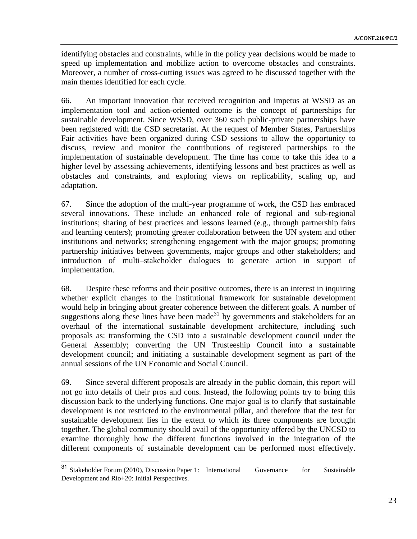identifying obstacles and constraints, while in the policy year decisions would be made to speed up implementation and mobilize action to overcome obstacles and constraints. Moreover, a number of cross-cutting issues was agreed to be discussed together with the main themes identified for each cycle.

66. An important innovation that received recognition and impetus at WSSD as an implementation tool and action-oriented outcome is the concept of partnerships for sustainable development. Since WSSD, over 360 such public-private partnerships have been registered with the CSD secretariat. At the request of Member States, Partnerships Fair activities have been organized during CSD sessions to allow the opportunity to discuss, review and monitor the contributions of registered partnerships to the implementation of sustainable development. The time has come to take this idea to a higher level by assessing achievements, identifying lessons and best practices as well as obstacles and constraints, and exploring views on replicability, scaling up, and adaptation.

67. Since the adoption of the multi-year programme of work, the CSD has embraced several innovations. These include an enhanced role of regional and sub-regional institutions; sharing of best practices and lessons learned (e.g., through partnership fairs and learning centers); promoting greater collaboration between the UN system and other institutions and networks; strengthening engagement with the major groups; promoting partnership initiatives between governments, major groups and other stakeholders; and introduction of multi–stakeholder dialogues to generate action in support of implementation.

68. Despite these reforms and their positive outcomes, there is an interest in inquiring whether explicit changes to the institutional framework for sustainable development would help in bringing about greater coherence between the different goals. A number of suggestions along these lines have been made<sup>[31](#page-22-0)</sup> by governments and stakeholders for an overhaul of the international sustainable development architecture, including such proposals as: transforming the CSD into a sustainable development council under the General Assembly; converting the UN Trusteeship Council into a sustainable development council; and initiating a sustainable development segment as part of the annual sessions of the UN Economic and Social Council.

69. Since several different proposals are already in the public domain, this report will not go into details of their pros and cons. Instead, the following points try to bring this discussion back to the underlying functions. One major goal is to clarify that sustainable development is not restricted to the environmental pillar, and therefore that the test for sustainable development lies in the extent to which its three components are brought together. The global community should avail of the opportunity offered by the UNCSD to examine thoroughly how the different functions involved in the integration of the different components of sustainable development can be performed most effectively.

<span id="page-22-0"></span><sup>&</sup>lt;sup>31</sup> Stakeholder Forum (2010), Discussion Paper 1: International Governance for Sustainable Development and Rio+20: Initial Perspectives.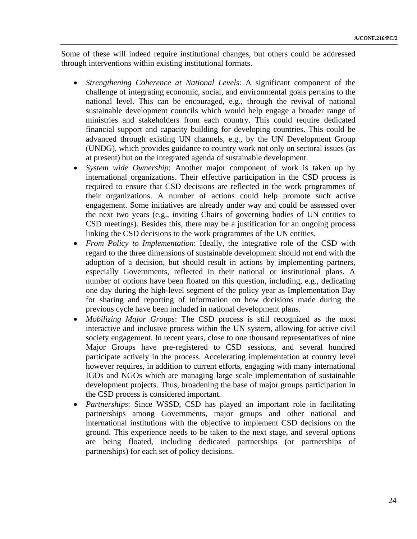Some of these will indeed require institutional changes, but others could be addressed through interventions within existing institutional formats.

- *Strengthening Coherence at National Levels*: A significant component of the challenge of integrating economic, social, and environmental goals pertains to the national level. This can be encouraged, e.g., through the revival of national sustainable development councils which would help engage a broader range of ministries and stakeholders from each country. This could require dedicated financial support and capacity building for developing countries. This could be advanced through existing UN channels, e.g., by the UN Development Group (UNDG), which provides guidance to country work not only on sectoral issues (as at present) but on the integrated agenda of sustainable development.
- *System wide Ownership*: Another major component of work is taken up by international organizations. Their effective participation in the CSD process is required to ensure that CSD decisions are reflected in the work programmes of their organizations. A number of actions could help promote such active engagement. Some initiatives are already under way and could be assessed over the next two years (e.g., inviting Chairs of governing bodies of UN entities to CSD meetings). Besides this, there may be a justification for an ongoing process linking the CSD decisions to the work programmes of the UN entities.
- *From Policy to Implementation*: Ideally, the integrative role of the CSD with regard to the three dimensions of sustainable development should not end with the adoption of a decision, but should result in actions by implementing partners, especially Governments, reflected in their national or institutional plans. A number of options have been floated on this question, including, e.g., dedicating one day during the high-level segment of the policy year as Implementation Day for sharing and reporting of information on how decisions made during the previous cycle have been included in national development plans.
- *Mobilizing Major Groups*: The CSD process is still recognized as the most interactive and inclusive process within the UN system, allowing for active civil society engagement. In recent years, close to one thousand representatives of nine Major Groups have pre-registered to CSD sessions, and several hundred participate actively in the process. Accelerating implementation at country level however requires, in addition to current efforts, engaging with many international IGOs and NGOs which are managing large scale implementation of sustainable development projects. Thus, broadening the base of major groups participation in the CSD process is considered important.
- *Partnerships*: Since WSSD, CSD has played an important role in facilitating partnerships among Governments, major groups and other national and international institutions with the objective to implement CSD decisions on the ground. This experience needs to be taken to the next stage, and several options are being floated, including dedicated partnerships (or partnerships of partnerships) for each set of policy decisions.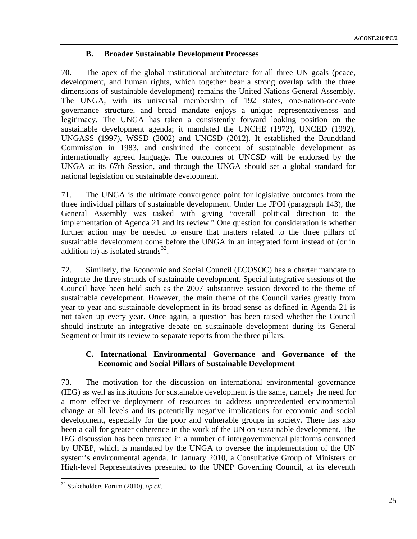## **B. Broader Sustainable Development Processes**

70. The apex of the global institutional architecture for all three UN goals (peace, development, and human rights, which together bear a strong overlap with the three dimensions of sustainable development) remains the United Nations General Assembly. The UNGA, with its universal membership of 192 states, one-nation-one-vote governance structure, and broad mandate enjoys a unique representativeness and legitimacy. The UNGA has taken a consistently forward looking position on the sustainable development agenda; it mandated the UNCHE (1972), UNCED (1992), UNGASS (1997), WSSD (2002) and UNCSD (2012). It established the Brundtland Commission in 1983, and enshrined the concept of sustainable development as internationally agreed language. The outcomes of UNCSD will be endorsed by the UNGA at its 67th Session, and through the UNGA should set a global standard for national legislation on sustainable development.

71. The UNGA is the ultimate convergence point for legislative outcomes from the three individual pillars of sustainable development. Under the JPOI (paragraph 143), the General Assembly was tasked with giving "overall political direction to the implementation of Agenda 21 and its review." One question for consideration is whether further action may be needed to ensure that matters related to the three pillars of sustainable development come before the UNGA in an integrated form instead of (or in addition to) as isolated strands<sup>[32](#page-24-0)</sup>.

72. Similarly, the Economic and Social Council (ECOSOC) has a charter mandate to integrate the three strands of sustainable development. Special integrative sessions of the Council have been held such as the 2007 substantive session devoted to the theme of sustainable development. However, the main theme of the Council varies greatly from year to year and sustainable development in its broad sense as defined in Agenda 21 is not taken up every year. Once again, a question has been raised whether the Council should institute an integrative debate on sustainable development during its General Segment or limit its review to separate reports from the three pillars.

## **C. International Environmental Governance and Governance of the Economic and Social Pillars of Sustainable Development**

73. The motivation for the discussion on international environmental governance (IEG) as well as institutions for sustainable development is the same, namely the need for a more effective deployment of resources to address unprecedented environmental change at all levels and its potentially negative implications for economic and social development, especially for the poor and vulnerable groups in society. There has also been a call for greater coherence in the work of the UN on sustainable development. The IEG discussion has been pursued in a number of intergovernmental platforms convened by UNEP, which is mandated by the UNGA to oversee the implementation of the UN system's environmental agenda. In January 2010, a Consultative Group of Ministers or High-level Representatives presented to the UNEP Governing Council, at its eleventh

<span id="page-24-0"></span><sup>32</sup> Stakeholders Forum (2010), *op.cit.*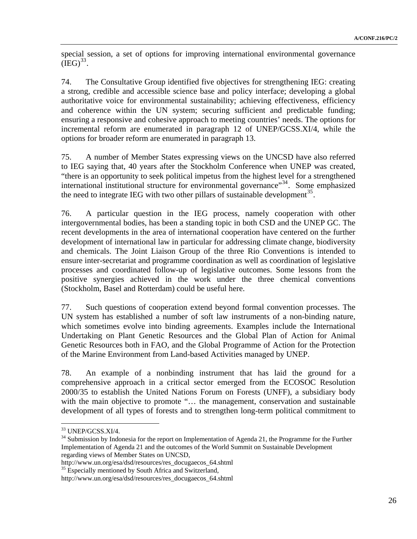special session, a set of options for improving international environmental governance  $(IEG)^{33}$ .

74. The Consultative Group identified five objectives for strengthening IEG: creating a strong, credible and accessible science base and policy interface; developing a global authoritative voice for environmental sustainability; achieving effectiveness, efficiency and coherence within the UN system; securing sufficient and predictable funding; ensuring a responsive and cohesive approach to meeting countries' needs. The options for incremental reform are enumerated in paragraph 12 of UNEP/GCSS.XI/4, while the options for broader reform are enumerated in paragraph 13.

75. A number of Member States expressing views on the UNCSD have also referred to IEG saying that, 40 years after the Stockholm Conference when UNEP was created, "there is an opportunity to seek political impetus from the highest level for a strengthened international institutional structure for environmental governance"<sup>[34](#page-25-0)</sup>. Some emphasized the need to integrate IEG with two other pillars of sustainable development<sup>[35](#page-25-1)</sup>.

76. A particular question in the IEG process, namely cooperation with other intergovernmental bodies, has been a standing topic in both CSD and the UNEP GC. The recent developments in the area of international cooperation have centered on the further development of international law in particular for addressing climate change, biodiversity and chemicals. The Joint Liaison Group of the three Rio Conventions is intended to ensure inter-secretariat and programme coordination as well as coordination of legislative processes and coordinated follow-up of legislative outcomes. Some lessons from the positive synergies achieved in the work under the three chemical conventions (Stockholm, Basel and Rotterdam) could be useful here.

77. Such questions of cooperation extend beyond formal convention processes. The UN system has established a number of soft law instruments of a non-binding nature, which sometimes evolve into binding agreements. Examples include the International Undertaking on Plant Genetic Resources and the Global Plan of Action for Animal Genetic Resources both in FAO, and the Global Programme of Action for the Protection of the Marine Environment from Land-based Activities managed by UNEP.

78. An example of a nonbinding instrument that has laid the ground for a comprehensive approach in a critical sector emerged from the ECOSOC Resolution 2000/35 to establish the United Nations Forum on Forests (UNFF), a subsidiary body with the main objective to promote "... the management, conservation and sustainable development of all types of forests and to strengthen long-term political commitment to

<sup>33</sup> UNEP/GCSS.XI/4.

<span id="page-25-0"></span><sup>&</sup>lt;sup>34</sup> Submission by Indonesia for the report on Implementation of Agenda 21, the Programme for the Further Implementation of Agenda 21 and the outcomes of the World Summit on Sustainable Development regarding views of Member States on UNCSD,

<span id="page-25-1"></span>http://www.un.org/esa/dsd/resources/res\_docugaecos\_64.shtml 35 Especially mentioned by South Africa and Switzerland,

http://www.un.org/esa/dsd/resources/res\_docugaecos\_64.shtml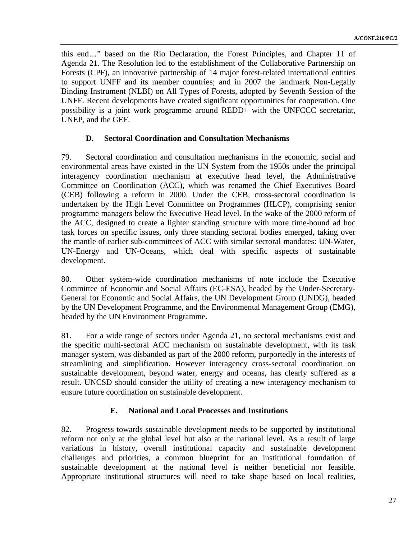this end…" based on the Rio Declaration, the Forest Principles, and Chapter 11 of Agenda 21. The Resolution led to the establishment of the Collaborative Partnership on Forests (CPF), an innovative partnership of 14 major forest-related international entities to support UNFF and its member countries; and in 2007 the landmark Non-Legally Binding Instrument (NLBI) on All Types of Forests, adopted by Seventh Session of the UNFF. Recent developments have created significant opportunities for cooperation. One possibility is a joint work programme around REDD+ with the UNFCCC secretariat, UNEP, and the GEF.

#### **D. Sectoral Coordination and Consultation Mechanisms**

79. Sectoral coordination and consultation mechanisms in the economic, social and environmental areas have existed in the UN System from the 1950s under the principal interagency coordination mechanism at executive head level, the Administrative Committee on Coordination (ACC), which was renamed the Chief Executives Board (CEB) following a reform in 2000. Under the CEB, cross-sectoral coordination is undertaken by the High Level Committee on Programmes (HLCP), comprising senior programme managers below the Executive Head level. In the wake of the 2000 reform of the ACC, designed to create a lighter standing structure with more time-bound ad hoc task forces on specific issues, only three standing sectoral bodies emerged, taking over the mantle of earlier sub-committees of ACC with similar sectoral mandates: UN-Water, UN-Energy and UN-Oceans, which deal with specific aspects of sustainable development.

80. Other system-wide coordination mechanisms of note include the Executive Committee of Economic and Social Affairs (EC-ESA), headed by the Under-Secretary-General for Economic and Social Affairs, the UN Development Group (UNDG), headed by the UN Development Programme, and the Environmental Management Group (EMG), headed by the UN Environment Programme.

81. For a wide range of sectors under Agenda 21, no sectoral mechanisms exist and the specific multi-sectoral ACC mechanism on sustainable development, with its task manager system, was disbanded as part of the 2000 reform, purportedly in the interests of streamlining and simplification. However interagency cross-sectoral coordination on sustainable development, beyond water, energy and oceans, has clearly suffered as a result. UNCSD should consider the utility of creating a new interagency mechanism to ensure future coordination on sustainable development.

## **E. National and Local Processes and Institutions**

82. Progress towards sustainable development needs to be supported by institutional reform not only at the global level but also at the national level. As a result of large variations in history, overall institutional capacity and sustainable development challenges and priorities, a common blueprint for an institutional foundation of sustainable development at the national level is neither beneficial nor feasible. Appropriate institutional structures will need to take shape based on local realities,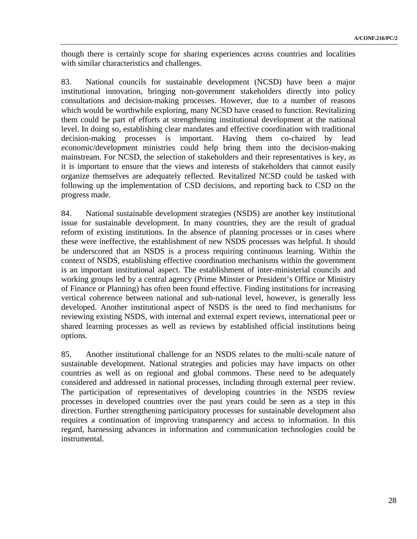though there is certainly scope for sharing experiences across countries and localities with similar characteristics and challenges.

83. National councils for sustainable development (NCSD) have been a major institutional innovation, bringing non-government stakeholders directly into policy consultations and decision-making processes. However, due to a number of reasons which would be worthwhile exploring, many NCSD have ceased to function. Revitalizing them could be part of efforts at strengthening institutional development at the national level. In doing so, establishing clear mandates and effective coordination with traditional decision-making processes is important. Having them co-chaired by lead economic/development ministries could help bring them into the decision-making mainstream. For NCSD, the selection of stakeholders and their representatives is key, as it is important to ensure that the views and interests of stakeholders that cannot easily organize themselves are adequately reflected. Revitalized NCSD could be tasked with following up the implementation of CSD decisions, and reporting back to CSD on the progress made.

84. National sustainable development strategies (NSDS) are another key institutional issue for sustainable development. In many countries, they are the result of gradual reform of existing institutions. In the absence of planning processes or in cases where these were ineffective, the establishment of new NSDS processes was helpful. It should be underscored that an NSDS is a process requiring continuous learning. Within the context of NSDS, establishing effective coordination mechanisms within the government is an important institutional aspect. The establishment of inter-ministerial councils and working groups led by a central agency (Prime Minster or President's Office or Ministry of Finance or Planning) has often been found effective. Finding institutions for increasing vertical coherence between national and sub-national level, however, is generally less developed. Another institutional aspect of NSDS is the need to find mechanisms for reviewing existing NSDS, with internal and external expert reviews, international peer or shared learning processes as well as reviews by established official institutions being options.

85. Another institutional challenge for an NSDS relates to the multi-scale nature of sustainable development. National strategies and policies may have impacts on other countries as well as on regional and global commons. These need to be adequately considered and addressed in national processes, including through external peer review. The participation of representatives of developing countries in the NSDS review processes in developed countries over the past years could be seen as a step in this direction. Further strengthening participatory processes for sustainable development also requires a continuation of improving transparency and access to information. In this regard, harnessing advances in information and communication technologies could be instrumental.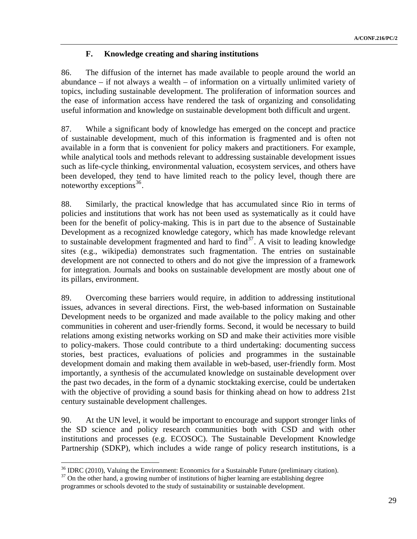## **F. Knowledge creating and sharing institutions**

86. The diffusion of the internet has made available to people around the world an abundance – if not always a wealth – of information on a virtually unlimited variety of topics, including sustainable development. The proliferation of information sources and the ease of information access have rendered the task of organizing and consolidating useful information and knowledge on sustainable development both difficult and urgent.

87. While a significant body of knowledge has emerged on the concept and practice of sustainable development, much of this information is fragmented and is often not available in a form that is convenient for policy makers and practitioners. For example, while analytical tools and methods relevant to addressing sustainable development issues such as life-cycle thinking, environmental valuation, ecosystem services, and others have been developed, they tend to have limited reach to the policy level, though there are noteworthy exceptions  $36$ .

88. Similarly, the practical knowledge that has accumulated since Rio in terms of policies and institutions that work has not been used as systematically as it could have been for the benefit of policy-making. This is in part due to the absence of Sustainable Development as a recognized knowledge category, which has made knowledge relevant to sustainable development fragmented and hard to find $37$ . A visit to leading knowledge sites (e.g., wikipedia) demonstrates such fragmentation. The entries on sustainable development are not connected to others and do not give the impression of a framework for integration. Journals and books on sustainable development are mostly about one of its pillars, environment.

89. Overcoming these barriers would require, in addition to addressing institutional issues, advances in several directions. First, the web-based information on Sustainable Development needs to be organized and made available to the policy making and other communities in coherent and user-friendly forms. Second, it would be necessary to build relations among existing networks working on SD and make their activities more visible to policy-makers. Those could contribute to a third undertaking: documenting success stories, best practices, evaluations of policies and programmes in the sustainable development domain and making them available in web-based, user-friendly form. Most importantly, a synthesis of the accumulated knowledge on sustainable development over the past two decades, in the form of a dynamic stocktaking exercise, could be undertaken with the objective of providing a sound basis for thinking ahead on how to address 21st century sustainable development challenges.

90. At the UN level, it would be important to encourage and support stronger links of the SD science and policy research communities both with CSD and with other institutions and processes (e.g. ECOSOC). The Sustainable Development Knowledge Partnership (SDKP), which includes a wide range of policy research institutions, is a

 $\overline{a}$ <sup>36</sup> IDRC (2010), Valuing the Environment: Economics for a Sustainable Future (preliminary citation).

<span id="page-28-1"></span><span id="page-28-0"></span> $37$  On the other hand, a growing number of institutions of higher learning are establishing degree programmes or schools devoted to the study of sustainability or sustainable development.